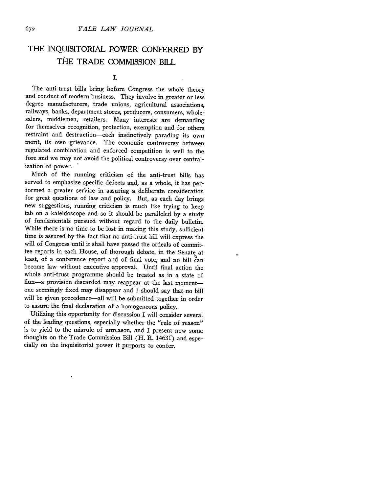# THE INQUISITORIAL POWER CONFERRED BY THE TRADE COMMISSION BILL

## I.

The anti-trust bills bring before Congress the whole theory and conduct of modern business. They involve in greater or less degree manufacturers, trade unions, agricultural associations, railways, banks, department stores, producers, consumers, wholesalers, middlemen, retailers. Many interests are demanding for themselves recognition, protection, exemption and for others restraint and destruction-each instinctively parading its own merit, its own grievance. The economic controversy between regulated combination and enforced competition is well to the fore and we may not avoid the political controversy over centralization of power.

Much of the running criticism of the anti-trust bills has served to emphasize specific defects and, as a whole, it has performed a greater service in assuring a deliberate consideration for great questions of law and policy. But, as each day brings new suggestions, running criticism is much like trying to keep tab on a kaleidoscope and so it should be paralleled by a study of fundamentals pursued without regard to the daily bulletin. While there is no time to be lost in making this study, sufficient time is assured by the fact that no anti-trust bill will express the will of Congress until it shall have passed the ordeals of committee reports in each House, of thorough debate, in the Senate at least, of a conference report and of final vote, and no bill can become law without executive approval. Until final action the whole anti-trust programme should be treated as in a state of flux-a provision discarded may reappear at the last momentone seemingly fixed may disappear and I should say that no bill will be given precedence-all will be submitted together in order to assure the final declaration of a homogeneous policy.

Utilizing this opportunity for discussion I will consider several of the leading questions, especially whether the "rule of reason" is to yield to the misrule of unreason, and I present now some thoughts on the Trade Commission Bill (H. R. 1463f) and especially on the inquisitorial power it purports to confer.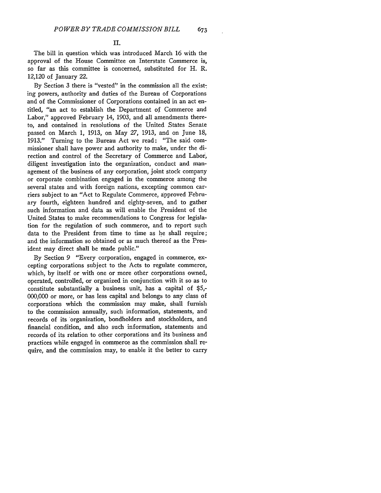673

#### II.

The bill in question which was introduced March 16 with the approval of the House Committee on Interstate Commerce is, so far as this committee is concerned, substituted for H. R. 12,120 of January *22.*

By Section 3 there is "vested" in the commission all the existing powers, authority and duties of the Bureau of Corporations and of the Commissioner of Corporations contained in an act entitled, "an act to establish the Department of Commerce and Labor," approved February 14, 1903, and all amendments thereto, and contained in resolutions of the United States Senate passed on March 1, 1913, on May *27,* 1913, and on June 18, 1913." Turning to the Bureau Act we read: "The said commissioner shall have power and authority to make, under the direction and control of the Secretary of Commerce and Labor, diligent investigation into the organization, conduct and management of the business of any corporation, joint stock company or corporate combination engaged in the commerce among the several states and with foreign nations, excepting common carriers subject to an "Act to Regulate Commerce, approved February fourth, eighteen hundred and eighty-seven, and to gather such information and data as will enable the President of the United States to make recommendations to Congress for legislation for the regulation of such commerce, and to report such data to the President from time to time as he shall require; and the information so obtained or as much thereof as the President may direct shall be made public."

By Section 9 "Every corporation, engaged in commerce, excepting corporations subject to the Acts to regulate commerce, which, by itself or with one or more other corporations owned, operated, controlled, or organized in conjunction with it so as to constitute substantially a business unit, has a capital of \$5,- 000,000 or more, or has less capital and belongs to any class of corporations which the commission may make, shall furnish to the commission annually, such information, statements, and records of its 'organization, bondholders and stockholders, and financial condition, and also such information, statements and records of its relation to other corporations and its business and practices while engaged in commerce as the commission shall require, and the commission may, to enable it the better to carry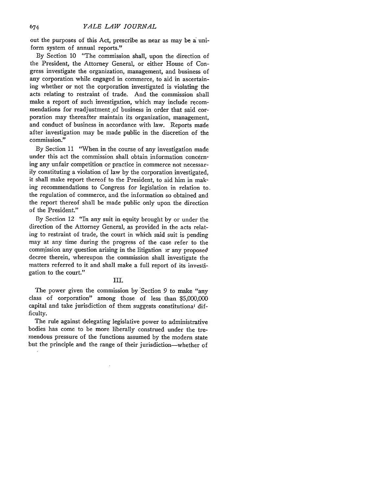out the purposes of this Act, prescribe as near as may be a uniform system of annual reports."

By Section 10 "The commission shall, upon the direction of the President, the Attorney General, or either House of Congress investigate the organization, management, and business of any corporation while engaged in commerce, to aid in ascertaining whether or not the corporation investigated is violating the acts relating to restraint of trade. And the commission shall make a report of such investigation, which may include recommendations for readjustment of business in order that said corporation may thereafter maintain its organization, management, and conduct of business in accordance with law. Reports made after investigation may be made public in the discretion of the commission."

By Section 11 "When in the course of any investigation made under this act the commission shall obtain information concerning any unfair competition or practice in commerce not necessarily constituting a violation of law by the corporation investigated, it shall make report thereof to the President, to aid him in making recommendations to Congress for legislation in relation to. the regulation of commerce, and the information so obtained and the report thereof shall be made public only upon the direction of the President."

By Section 12 "Tn any suit in equity brought by or under the direction of the Attorney General, as provided in the acts relating to restraint of trade, the court in which said suit is pending may at any time during the progress of the case refer to the commission any question arising in the litigation )r any proposed decree therein, whereupon the commission shall investigate the matters referred to it and shall make a full report of its investigation to the court."

## III.

The power given the commission by Section 9 to make "any class of corporation" among those of less than \$5,000,000 capital and take jurisdiction of them suggests constitutional difficulty.

The rule against delegating legislative power to administrative bodies has come to be more liberally construed under the tremendous pressure of the functions assumed by the modern state but the principle and the range of their jurisdiction-whether of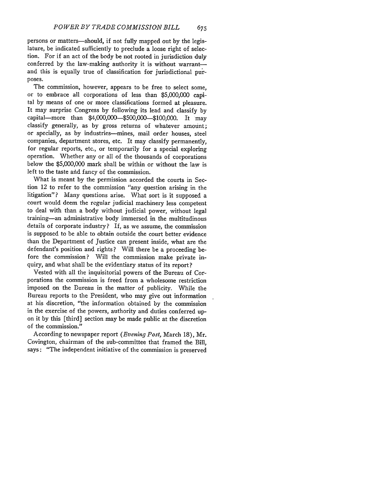persons or matters-should, if not fully mapped out by the legislature, be indicated sufficiently to preclude a loose right of selection. For if an act of the body be not rooted in jurisdiction duly conferred by the law-making authority it is without warrantand this is equally true of classification for jurisdictional purposes.

The commission, however, appears to be free to select some, or to embrace all corporations of less than \$5,000,000 capital by means of one or more classifications formed at pleasure. It may surprise Congress by following its lead and classify by capital-more than \$4,000,000-\$500,000-\$100,000. It may classify generally, as by gross returns of whatever amount; or specially, as by industries-mines, mail order houses, steel companies, department stores, etc. It may classify permanently, for regular reports, etc., or temporarily for a special exploring operation. Whether any or all of the thousands of corporations below the \$5,000,000 mark shall be within or without the law is left to the taste and fancy of the commission.

What is meant by the permission accorded the courts in Section 12 to refer to the commission "any question arising in the litigation"? Many questions arise. What sort is it supposed a court would deem the regular judicial machinery less competent to deal with than a body without judicial power, without legal training-an administrative body immersed in the multitudinous details of corporate industry? If, as we assume, the commission is supposed to be able to obtain outside the court better evidence than the Department of Justice can present inside, what are the defendant's position and rights? Will there be a proceeding before the commission? Will the commission make private inquiry, and what shall be the evidentiary status of its report?

Vested with all the inquisitorial powers of the Bureau of Corporations the commission is freed from a wholesome restriction imposed on the Bureau in the matter of publicity. While the Bureau reports to the President, who may give out information at his discretion, "the information obtained by the commission in the exercise of the powers, authority and duties conferred upon it by this [third] section may be made public at the discretion of the commission."

According to newspaper report *(Evening Post,* March 18), Mr. Covington, chairman of the sub-committee that framed the Bill, says: "The independent initiative of the commission is preserved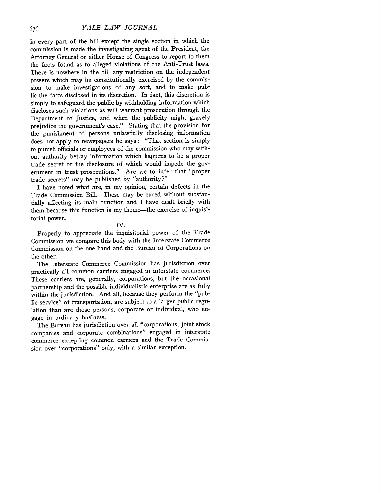in every part of the bill except the single section in which the commission is made the investigating agent of the President, the Attorney General or either House of Congress to report to them the facts found as to alleged violations of the Anti-Trust laws. There is nowhere in the bill any restriction on the independent powers which may be constitutionally exercised by the commission to make investigations of any sort, and to make public the facts disclosed in its discretion. In fact, this discretion is simply to safeguard the public by withholding information which discloses such violations as will warrant prosecution through the Department of Justice, and when the publicity might gravely prejudice the government's case." Stating that the provision for the punishment of persons unlawfully disclosing information does not apply to newspapers he says: "That section is simply to punish officials or employees of the commission who may without authority betray information which happens to be a proper trade secret or the disclosure of which would impede the government in trust prosecutions." Are we to infer that "proper trade secrets" may be published by "authority?"

I have noted what are, in my opinion, certain defects in the Trade Commission Bill. These may be cured without substantially affecting its main function and I have dealt briefly with them because this function is my theme-the exercise of inquisitorial power.

#### **IV.**

Properly to appreciate the inquisitorial power of the Trade Commission we compare this body with the Interstate Commerce Commission on the one hand and the Bureau of Corporations on the other.

The Interstate Commerce Commission has jurisdiction over practically all common carriers engaged in interstate commerce. These carriers are, generally, corporations, but the occasional partnership and the possible individualistic enterprise are as fully within the jurisdiction. And all, because they perform the "public service" of transportation, are subject to a larger public regulation than are those persons, corporate or individual, who engage in ordinary business.

The Bureau has jurisdiction over all "corporations, joint stock companies and corporate combinations" engaged in interstate commerce excepting common carriers and the Trade Commission over "corporations" only, with a similar exception.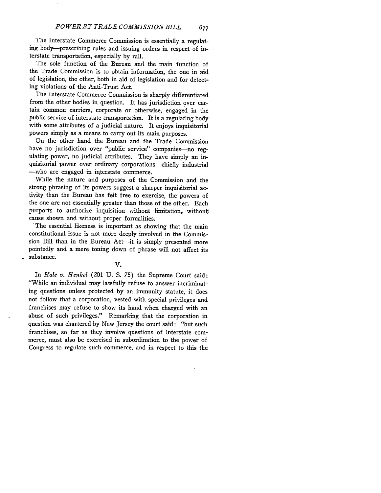The Interstate Commerce Commission is essentially a regulating body-prescribing rules and issuing orders in respect of interstate transportation, especially by rail.

The sole function of the Bureau and the main function of the Trade Commission is to obtain information, the one in aid of legislation, the other, both in aid of legislation and for detecting violations of the Anti-Trust Act.

The Interstate Commerce Commission is sharply differentiated from the other bodies in question. It has jurisdiction over certain common carriers, corporate or otherwise, engaged in the public service of interstate transportation. It is a regulating body with some attributes of a judicial nature. It enjoys inquisitorial powers simply as a means to carry out its main purposes.

On the other hand the Bureau and the Trade Commission have no jurisdiction over "public service" companies-no regulating power, no judicial attributes. They have simply an inquisitorial power over ordinary corporations-chiefly industrial -who are engaged in interstate commerce.

While the nature and purposes of the Commission and the strong phrasing of its powers suggest a sharper inquisitorial activity than the Bureau has felt free to exercise, the powers of the one are not essentially greater than those of the other. Each purports to authorize inquisition without limitation, without cause shown and without proper formalities.

"The essential likeness is important as showing that the main constitutional issue is not more deeply involved in the Commission Bill than in the Bureau Act-it is simply presented more pointedly and a mere toning down of phrase will not affect its substance.

#### V.

In *Hale v. Henkel* (201 U. S. 75) the Supreme Court said: "While an individual may lawfully refuse to answer incriminating questions unless protected by an immunity statute, it does not follow that a corporation, vested with special privileges and franchises may refuse to show its hand when charged with an abuse of such privileges." Remarking that the corporation in question was chartered by New Jersey the court said: "but such franchises, so far as they involve questions of interstate commerce, must also be exercised in subordination to the power of Congress to regulate such commerce, and in respect to this the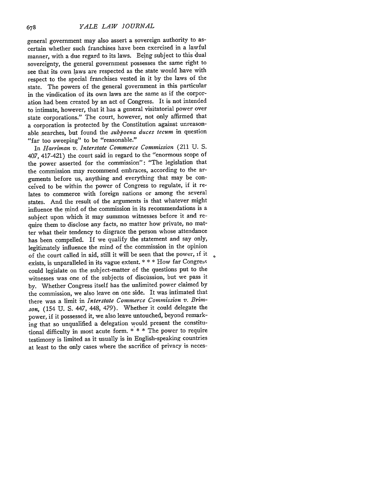general government may also assert a sovereign authority to ascertain whether such franchises have been exercised in a lawful manner, with a due regard to its laws. Being subject to this dual sovereignty, the general government possesses the same right to see that its own laws are respected as the state would have with respect to the special franchises vested in it by the laws of the state. The powers of the general government in this particular in the vindication of its own laws are the same as if the corporation had been created by an act of Congress. It is not intended to intimate, however, that it has a general visitatorial power over state corporations." The court, however, not only affirmed that a corporation is protected by the Constitution against unreasonable searches, but found the *subpoena duces tecum* in question "far too sweeping" to be "reasonable."

In *Harriman v. Interstate Commerce Commission* (211 U. S. 407, 417-421) the court said in regard to the "enormous scope of the power asserted for the commission": "The legislation that the commission may recommend embraces, according to the arguments before us, anything and everything that may be conceived to be within the power of Congress to regulate, if it relates to commerce with foreign nations or among the several states. And the result of the arguments is that whatever might influence the mind of the commission in its recommendations is a subject upon which it may summon witnesses before it and require them to disclose any facts, no matter how private, no matter what their tendency to disgrace the person whose attendance has been compelled. If we qualify the statement and say only, legitimately influence the mind of the commission in the opinion of the court called in aid, still it will be seen that the power, if it exists, is unparalleled in its vague extent.  $***$  How far Congress could legislate on the subject-matter of the questions put to the witnesses was one of the subjects of discussion, but we pass it by. Whether Congress itself has the unlimited power claimed by the commission, we also leave on one side. It was intimated that there was a limit in *Interstate Commerce Commission v. Brimson,* (154 U. S. 447, 448, 479). Whether it could delegate the power, if it possessed it, we also leave untouched, beyond remarking that so unqualified a delegation would present the constitutional difficulty in most acute form. \* \*\* The power to require testimony is limited as it usually is in English-speaking countries at least to the only cases where the sacrifice of privacy is neces-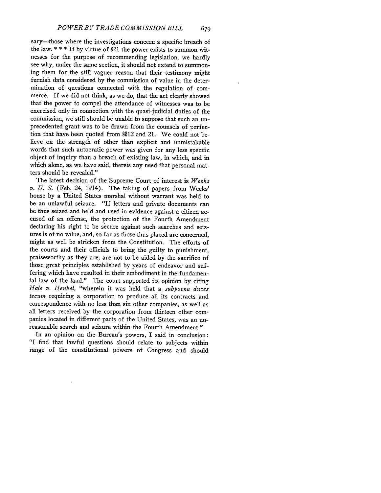sary-those where the investigations concern a specific breach of the law.  $***$  If by virtue of \$21 the power exists to summon witnesses for the purpose of recommending legislation, we hardly see why, under the same section, it should not extend to summoning them for the still vaguer reason that their testimony might furnish data considered by the commission of value in the determination of questions connected with the regulation of commerce. If we did not think, as we do, that the act clearly showed that the power to compel the attendance of witnesses was to be exercised only in connection with the quasi-judicial duties of the commission, we still should be unable to suppose that such an unprecedented grant was to be drawn from the counsels of perfection that have been quoted from §§12 and 21. We could not believe on the strength of other than explicit and unmistakable words that such autocratic power was given for any less specific object of inquiry than a breach of existing law, in which, and in which alone, as we have said, thereis any need that personal matters should be revealed."

The latest decision of the Supreme Court of interest is *Weeks v. U. S.* (Feb. 24, 1914). The taking of papers from Weeks' house by a United States marshal without warrant was held to be an unlawful seizure. "If letters and private documents can be thus seized and held and used in evidence against a citizen accused of an offense, the protection of the Fourth Amendment declaring his right to be secure against such searches and seizures is of no value, and, so far as those thus placed are concerned, might as well be stricken from the Constitution. The efforts of the courts and their officials to bring the guilty to punishment, praiseworthy as they are, are not to be aided by the sacrifice of those great principles established by years of endeavor and suffering which have resulted in their embodiment in the fundamental law of the land." The court supported its opinion by citing *Hale v. Henkel,* "wherein it was held that a *subpoena duces tecum* requiring a corporation to produce all its contracts and correspondence with no less than six other companies, as well as all letters received by the corporation from thirteen other companies located in different parts of the United States, was an unreasonable search and seizure within the Fourth Amendment."

In an opinion on the Bureau's powers, I said in conclusion: "I find that lawful questions should relate to subjects within range of the constitutional powers of Congress and should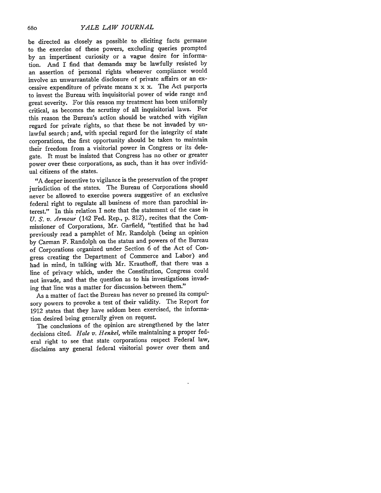be directed as closely as possible to eliciting facts germane to the exercise of these powers, excluding queries prompted by an impertinent curiosity or a vague desire for information. And I find that demands may be lawfully resisted by an assertion of personal rights whenever compliance would involve an unwarrantable disclosure of private affairs or an excessive expenditure of private means  $x \times x$ . The Act purports to invest the Bureau with inquisitorial power of wide range and great severity. For this reason my treatment has been uniformly critical, as becomes the scrutiny of all inquisitorial laws. For this reason the Bureau's action should be watched with vigilan regard for private rights, so that these be not invaded by unlawful search; and, with special regard for the integrity of state corporations, the first opportunity should be taken to maintain their freedom from a visitorial power in Congress or its delegate. It must be insisted that Congress has no other or greater power over these corporations, as such, than it has over individual citizens of the states.

"A deeper incentive to vigilance is the preservation of the proper jurisdiction of the states. The Bureau of Corporations should never be allowed to exercise powers suggestive of an exclusive federal right to regulate all business of more than parochial interest." In this relation I note that the statement of the case in *U. S. v. Armour* (142 Fed. Rep., p. 812), recites that the Commissioner of Corporations, Mr. Garfield, "testified that he had previously read a pamphlet of Mr. Randolph (being an opinion by Carman F. Randolph on the status and powers of the Bureau of Corporations organized under Section 6 of the Act of Congress creating the Department of Commerce and Labor) and had in mind, in talking with Mr. Krauthoff, that there was a line of privacy which, under the Constitution, Congress could not invade, and that the question as to his investigations invading that line was a matter for discussion. between them."

As a matter of fact the Bureau has never so pressed its compulsory powers to provoke a test of their validity. The Report for 1912 states that they have seldom been exercised, the information desired being generally given on request.

The conclusions of the opinion are strengthened by the later decisions cited. *Hale v. Henkel,* while maintaining a proper federal right to see that state corporations respect Federal law, disclaims any general federal visitorial power over them and